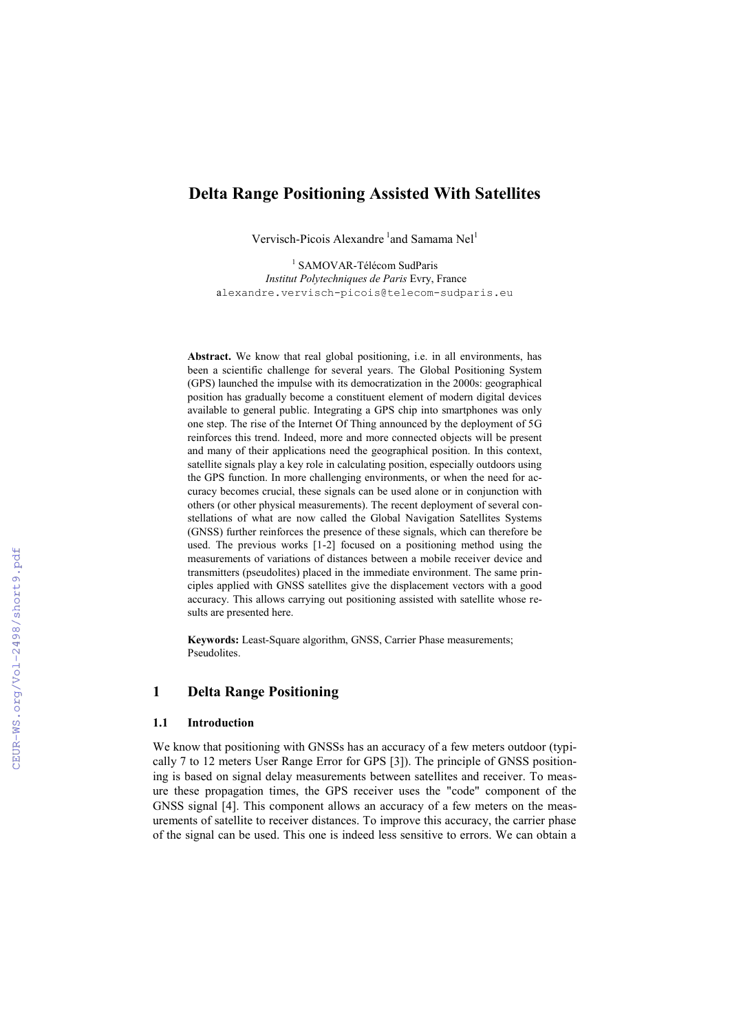# **Delta Range Positioning Assisted With Satellites**

Vervisch-Picois Alexandre <sup>1</sup> and Samama Nel<sup>1</sup>

<sup>1</sup> SAMOVAR-Télécom SudParis *Institut Polytechniques de Paris* Evry, France a[lexandre.vervisch-picois@telecom-sudparis.eu](mailto:alexandre.vervisch-picois@telecom-sudparis.eu)

**Abstract.** We know that real global positioning, i.e. in all environments, has been a scientific challenge for several years. The Global Positioning System (GPS) launched the impulse with its democratization in the 2000s: geographical position has gradually become a constituent element of modern digital devices available to general public. Integrating a GPS chip into smartphones was only one step. The rise of the Internet Of Thing announced by the deployment of 5G reinforces this trend. Indeed, more and more connected objects will be present and many of their applications need the geographical position. In this context, satellite signals play a key role in calculating position, especially outdoors using the GPS function. In more challenging environments, or when the need for accuracy becomes crucial, these signals can be used alone or in conjunction with others (or other physical measurements). The recent deployment of several constellations of what are now called the Global Navigation Satellites Systems (GNSS) further reinforces the presence of these signals, which can therefore be used. The previous works [1-2] focused on a positioning method using the measurements of variations of distances between a mobile receiver device and transmitters (pseudolites) placed in the immediate environment. The same principles applied with GNSS satellites give the displacement vectors with a good accuracy. This allows carrying out positioning assisted with satellite whose results are presented here.

**Keywords:** Least-Square algorithm, GNSS, Carrier Phase measurements; Pseudolites.

## **1 Delta Range Positioning**

### **1.1 Introduction**

We know that positioning with GNSSs has an accuracy of a few meters outdoor (typically 7 to 12 meters User Range Error for GPS [3]). The principle of GNSS positioning is based on signal delay measurements between satellites and receiver. To measure these propagation times, the GPS receiver uses the "code" component of the GNSS signal [4]. This component allows an accuracy of a few meters on the measurements of satellite to receiver distances. To improve this accuracy, the carrier phase of the signal can be used. This one is indeed less sensitive to errors. We can obtain a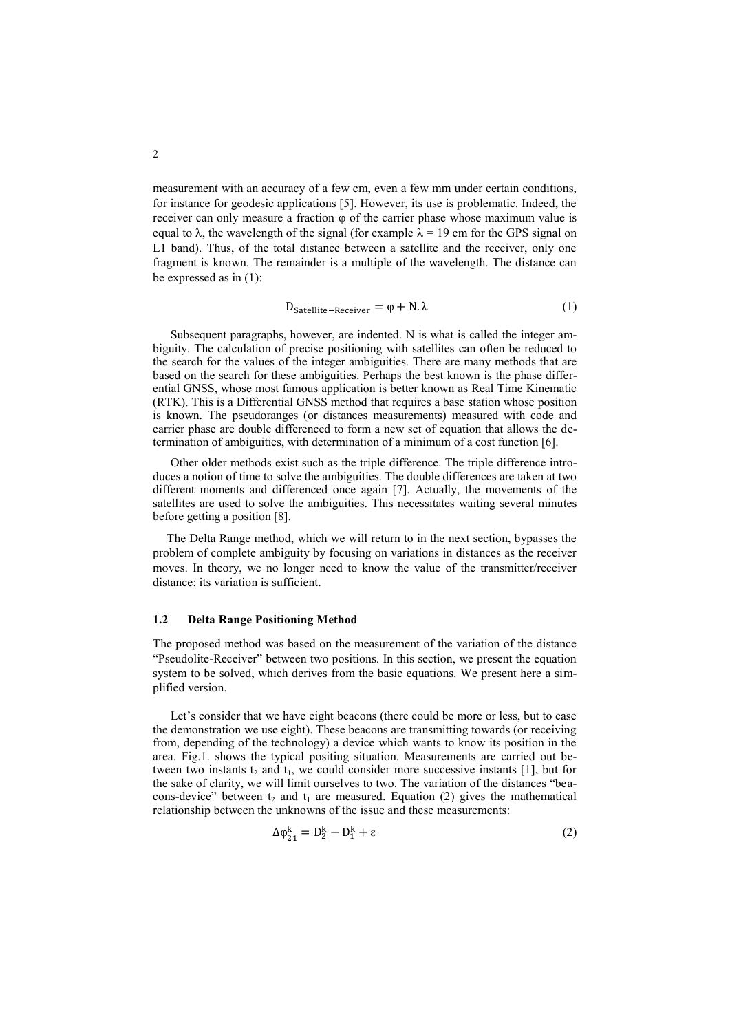measurement with an accuracy of a few cm, even a few mm under certain conditions, for instance for geodesic applications [5]. However, its use is problematic. Indeed, the receiver can only measure a fraction  $\varphi$  of the carrier phase whose maximum value is equal to  $\lambda$ , the wavelength of the signal (for example  $\lambda = 19$  cm for the GPS signal on L1 band). Thus, of the total distance between a satellite and the receiver, only one fragment is known. The remainder is a multiple of the wavelength. The distance can be expressed as in (1):

$$
D_{\text{Satellite-Receiver}} = \varphi + N.\lambda \tag{1}
$$

Subsequent paragraphs, however, are indented. N is what is called the integer ambiguity. The calculation of precise positioning with satellites can often be reduced to the search for the values of the integer ambiguities. There are many methods that are based on the search for these ambiguities. Perhaps the best known is the phase differential GNSS, whose most famous application is better known as Real Time Kinematic (RTK). This is a Differential GNSS method that requires a base station whose position is known. The pseudoranges (or distances measurements) measured with code and carrier phase are double differenced to form a new set of equation that allows the determination of ambiguities, with determination of a minimum of a cost function [6].

Other older methods exist such as the triple difference. The triple difference introduces a notion of time to solve the ambiguities. The double differences are taken at two different moments and differenced once again [7]. Actually, the movements of the satellites are used to solve the ambiguities. This necessitates waiting several minutes before getting a position [8].

The Delta Range method, which we will return to in the next section, bypasses the problem of complete ambiguity by focusing on variations in distances as the receiver moves. In theory, we no longer need to know the value of the transmitter/receiver distance: its variation is sufficient.

#### **1.2 Delta Range Positioning Method**

The proposed method was based on the measurement of the variation of the distance "Pseudolite-Receiver" between two positions. In this section, we present the equation system to be solved, which derives from the basic equations. We present here a simplified version.

Let's consider that we have eight beacons (there could be more or less, but to ease the demonstration we use eight). These beacons are transmitting towards (or receiving from, depending of the technology) a device which wants to know its position in the area. Fig.1. shows the typical positing situation. Measurements are carried out between two instants  $t_2$  and  $t_1$ , we could consider more successive instants [1], but for the sake of clarity, we will limit ourselves to two. The variation of the distances "beacons-device" between  $t_2$  and  $t_1$  are measured. Equation (2) gives the mathematical relationship between the unknowns of the issue and these measurements:

$$
\Delta \varphi_{21}^k = D_2^k - D_1^k + \varepsilon \tag{2}
$$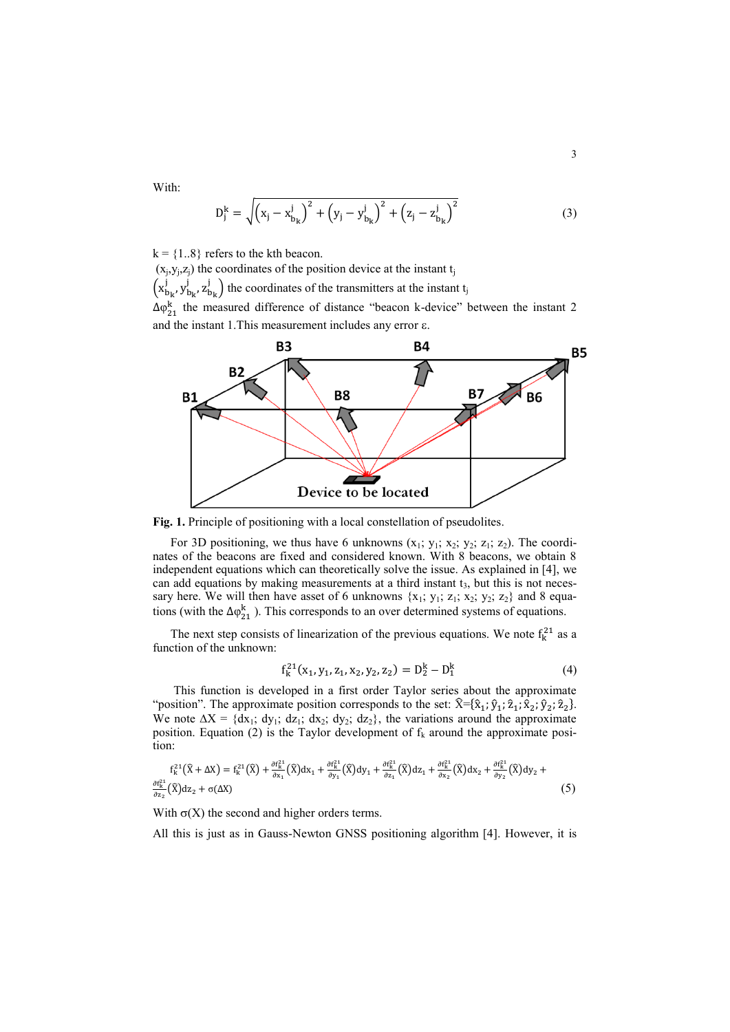With:

$$
D_j^k = \sqrt{(x_j - x_{b_k}^j)^2 + (y_j - y_{b_k}^j)^2 + (z_j - z_{b_k}^j)^2}
$$
(3)

 $k = \{1..8\}$  refers to the kth beacon.

 $(x<sub>j</sub>,y<sub>j</sub>,z<sub>j</sub>)$  the coordinates of the position device at the instant t<sub>j</sub>  $(x_{b_1}^j, y_{b_1}^j, z_{b_1}^j)$  the coordinates of the transmitters at the instant t<sub>j</sub>  $\Delta \varphi_{21}^k$  the measured difference of distance "beacon k-device" between the instant 2 and the instant 1. This measurement includes any error  $\varepsilon$ .



**Fig. 1.** Principle of positioning with a local constellation of pseudolites.

For 3D positioning, we thus have 6 unknowns  $(x_1; y_1; x_2; y_2; z_1; z_2)$ . The coordinates of the beacons are fixed and considered known. With 8 beacons, we obtain 8 independent equations which can theoretically solve the issue. As explained in [4], we can add equations by making measurements at a third instant  $t<sub>3</sub>$ , but this is not necessary here. We will then have asset of 6 unknowns  $\{x_1; y_1; z_1; x_2; y_2; z_2\}$  and 8 equations (with the  $\Delta \varphi_{21}^k$ ). This corresponds to an over determined systems of equations.

The next step consists of linearization of the previous equations. We note  $f_k^{21}$  as a function of the unknown:

$$
f_k^{21}(x_1, y_1, z_1, x_2, y_2, z_2) = D_2^k - D_1^k
$$
 (4)

This function is developed in a first order Taylor series about the approximate "position". The approximate position corresponds to the set:  $\hat{\mathbf{X}} = {\hat{\mathbf{x}}_1; \hat{\mathbf{y}}_1; \hat{\mathbf{z}}_2; \hat{\mathbf{y}}_2; \hat{\mathbf{z}}_2}.$ We note  $\Delta X = \{dx_1, dy_1, dz_1, dx_2, dy_2, dz_2\}$ , the variations around the approximate position. Equation (2) is the Taylor development of  $f_k$  around the approximate position:

$$
f_{k}^{21}(\hat{X}+\Delta X)=f_{k}^{21}(\hat{X})+\frac{\partial f_{k}^{21}}{\partial x_{1}}(\hat{X})dx_{1}+\frac{\partial f_{k}^{21}}{\partial y_{1}}(\hat{X})dy_{1}+\frac{\partial f_{k}^{21}}{\partial z_{1}}(\hat{X})dz_{1}+\frac{\partial f_{k}^{21}}{\partial x_{2}}(\hat{X})dz_{2}+\frac{\partial f_{k}^{21}}{\partial y_{2}}(\hat{X})dy_{2}+(5)
$$
\n
$$
\frac{\partial f_{k}^{21}}{\partial z_{2}}(\hat{X})dz_{2}+\sigma(\Delta X)
$$
\n(5)

With  $\sigma(X)$  the second and higher orders terms.

All this is just as in Gauss-Newton GNSS positioning algorithm [4]. However, it is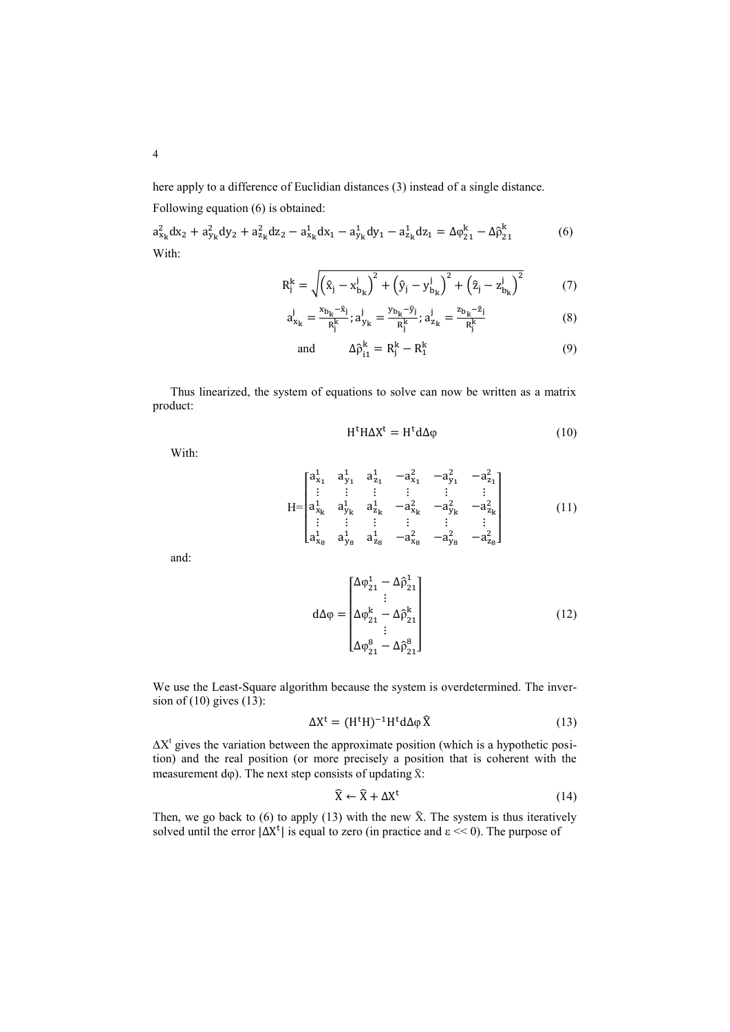here apply to a difference of Euclidian distances (3) instead of a single distance.

Following equation (6) is obtained:

 $a_{x_k}^2 dx_2 + a_{y_k}^2 dy_2 + a_{z_k}^2 dz_2 - a_{x_k}^1 dx_1 - a_{y_k}^1 dy_1 - a_{z_k}^1 dz_1 = \Delta \varphi_{21}^k - \Delta \hat{\rho}_2^k$ k (6) With:

$$
R_j^k = \sqrt{(\hat{x}_j - x_{b_k}^j)^2 + (\hat{y}_j - y_{b_k}^j)^2 + (\hat{z}_j - z_{b_k}^j)^2}
$$
(7)

$$
a_{x_k}^j = \frac{x_{b_k} - \hat{x}_j}{R_j^k}; a_{y_k}^j = \frac{y_{b_k} - \hat{y}_j}{R_j^k}; a_{z_k}^j = \frac{z_{b_k} - \hat{z}_j}{R_j^k}
$$
(8)

and 
$$
\Delta \hat{\rho}_{i1}^k = R_j^k - R_1^k \tag{9}
$$

Thus linearized, the system of equations to solve can now be written as a matrix product:

$$
H^t H \Delta X^t = H^t d \Delta \varphi \tag{10}
$$

With:

$$
H = \begin{bmatrix} a_{x_1}^1 & a_{y_1}^1 & a_{z_1}^1 & -a_{x_1}^2 & -a_{y_1}^2 & -a_{z_1}^2 \\ \vdots & \vdots & \vdots & \vdots & \vdots & \vdots \\ a_{x_k}^1 & a_{y_k}^1 & a_{z_k}^1 & -a_{x_k}^2 & -a_{y_k}^2 & -a_{z_k}^2 \\ \vdots & \vdots & \vdots & \vdots & \vdots & \vdots \\ a_{x_8}^1 & a_{y_8}^1 & a_{z_8}^1 & -a_{x_8}^2 & -a_{y_8}^2 & -a_{z_8}^2 \end{bmatrix}
$$
 (11)

and:

$$
d\Delta \varphi = \begin{bmatrix} \Delta \varphi_{21}^1 - \Delta \hat{\rho}_{21}^1 \\ \vdots \\ \Delta \varphi_{21}^k - \Delta \hat{\rho}_{21}^k \\ \vdots \\ \Delta \varphi_{21}^8 - \Delta \hat{\rho}_{21}^8 \end{bmatrix}
$$
(12)

We use the Least-Square algorithm because the system is overdetermined. The inversion of  $(10)$  gives  $(13)$ :

$$
\Delta X^{t} = (H^{t}H)^{-1}H^{t}d\Delta\varphi\widehat{X}
$$
 (13)

 $\Delta X^t$  gives the variation between the approximate position (which is a hypothetic position) and the real position (or more precisely a position that is coherent with the measurement  $d\varphi$ ). The next step consists of updating  $\hat{x}$ :

$$
\hat{\mathbf{X}} \leftarrow \hat{\mathbf{X}} + \Delta \mathbf{X}^{\mathrm{t}} \tag{14}
$$

Then, we go back to  $(6)$  to apply  $(13)$  with the new  $\hat{X}$ . The system is thus iteratively solved until the error  $|\Delta X^t|$  is equal to zero (in practice and  $\epsilon \ll 0$ ). The purpose of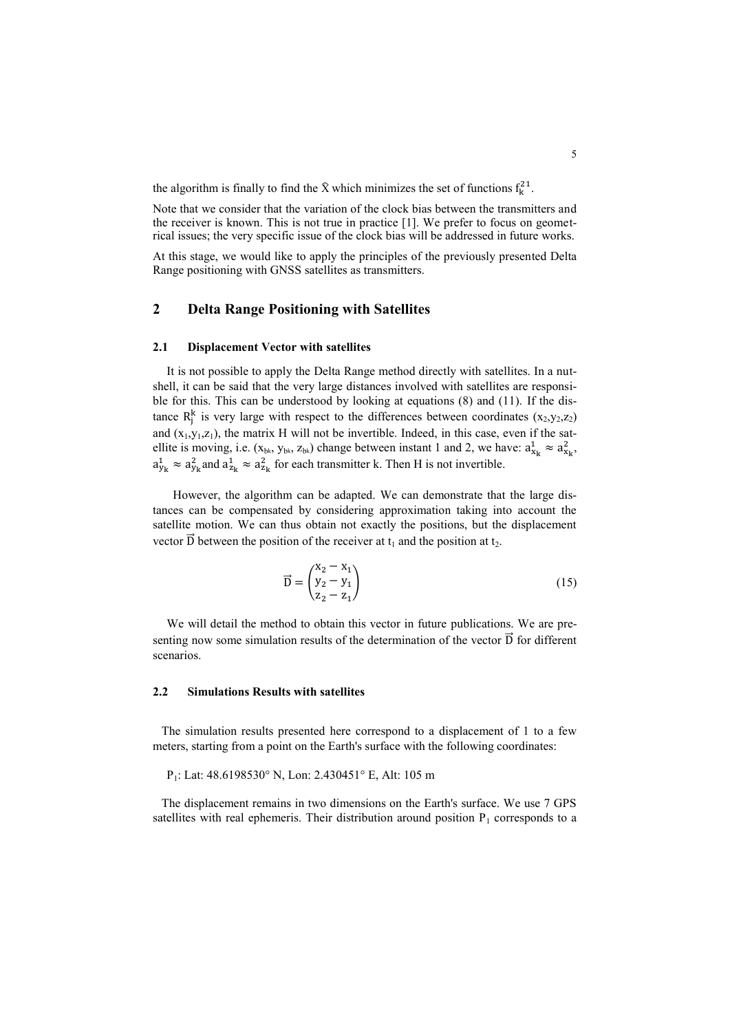the algorithm is finally to find the  $\hat{X}$  which minimizes the set of functions  $f_k^{21}$ .

Note that we consider that the variation of the clock bias between the transmitters and the receiver is known. This is not true in practice [1]. We prefer to focus on geometrical issues; the very specific issue of the clock bias will be addressed in future works.

At this stage, we would like to apply the principles of the previously presented Delta Range positioning with GNSS satellites as transmitters.

### **2 Delta Range Positioning with Satellites**

#### **2.1 Displacement Vector with satellites**

It is not possible to apply the Delta Range method directly with satellites. In a nutshell, it can be said that the very large distances involved with satellites are responsible for this. This can be understood by looking at equations (8) and (11). If the distance  $R_i^k$  is very large with respect to the differences between coordinates  $(x_2,y_2,z_2)$ and  $(x_1,y_1,z_1)$ , the matrix H will not be invertible. Indeed, in this case, even if the satellite is moving, i.e.  $(x_{b_k}, y_{b_k}, z_{b_k})$  change between instant 1 and 2, we have:  $a_{x_k}^1 \approx a_{x_k}^2$ ,  $a_{\rm v}^1 \approx a_{\rm v}^2$  and  $a_{\rm z}^1 \approx a_{\rm z}^2$  for each transmitter k. Then H is not invertible.

 However, the algorithm can be adapted. We can demonstrate that the large distances can be compensated by considering approximation taking into account the satellite motion. We can thus obtain not exactly the positions, but the displacement vector  $\overrightarrow{D}$  between the position of the receiver at t<sub>1</sub> and the position at t<sub>2</sub>.

$$
\vec{D} = \begin{pmatrix} x_2 - x_1 \\ y_2 - y_1 \\ z_2 - z_1 \end{pmatrix}
$$
 (15)

We will detail the method to obtain this vector in future publications. We are presenting now some simulation results of the determination of the vector  $\vec{D}$  for different scenarios.

### **2.2 Simulations Results with satellites**

The simulation results presented here correspond to a displacement of 1 to a few meters, starting from a point on the Earth's surface with the following coordinates:

P1: Lat: 48.6198530° N, Lon: 2.430451° E, Alt: 105 m

The displacement remains in two dimensions on the Earth's surface. We use 7 GPS satellites with real ephemeris. Their distribution around position  $P_1$  corresponds to a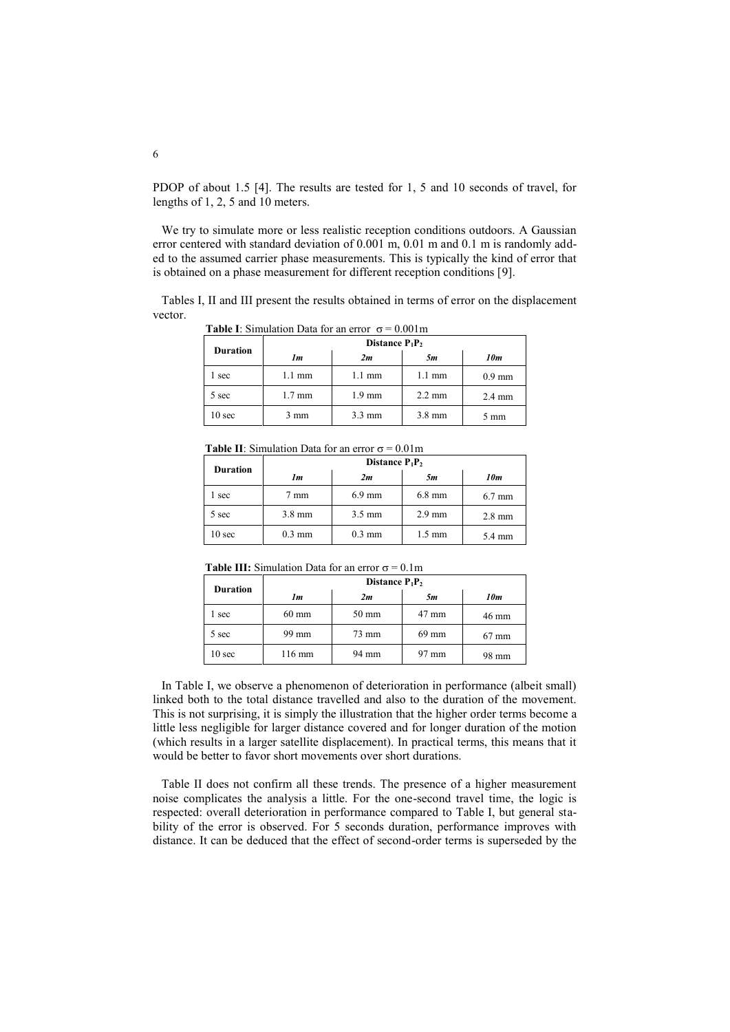PDOP of about 1.5 [4]. The results are tested for 1, 5 and 10 seconds of travel, for lengths of 1, 2, 5 and 10 meters.

We try to simulate more or less realistic reception conditions outdoors. A Gaussian error centered with standard deviation of 0.001 m, 0.01 m and 0.1 m is randomly added to the assumed carrier phase measurements. This is typically the kind of error that is obtained on a phase measurement for different reception conditions [9].

Tables I, II and III present the results obtained in terms of error on the displacement vector.

**Table I**: Simulation Data for an error  $\sigma = 0.001$ m

| <b>Duration</b> | Distance $P_1P_2$ |                  |                  |                  |  |
|-----------------|-------------------|------------------|------------------|------------------|--|
|                 | 1m                | 2m               | 5m               | 10m              |  |
| sec             | $1.1 \text{ mm}$  | $1.1 \text{ mm}$ | $1.1 \text{ mm}$ | $0.9 \text{ mm}$ |  |
| 5 sec           | $1.7 \text{ mm}$  | $1.9 \text{ mm}$ | $2.2 \text{ mm}$ | $2.4 \text{ mm}$ |  |
| 10 sec          | 3 mm              | $3.3 \text{ mm}$ | $3.8$ mm         | $5 \text{ mm}$   |  |

**Table II**: Simulation Data for an error  $\sigma = 0.01$ m

| <b>Duration</b>   | Distance $P_1P_2$ |                  |                  |                  |  |
|-------------------|-------------------|------------------|------------------|------------------|--|
|                   | 1m                | 2m               | 5m               | 10m              |  |
| sec               | 7 mm              | $6.9$ mm         | $6.8$ mm         | $6.7 \text{ mm}$ |  |
| 5 sec             | $3.8 \text{ mm}$  | $3.5 \text{ mm}$ | $2.9$ mm         | $2.8 \text{ mm}$ |  |
| 10 <sub>sec</sub> | $0.3 \text{ mm}$  | $0.3 \text{ mm}$ | $1.5 \text{ mm}$ | 5.4 mm           |  |

**Table III:** Simulation Data for an error  $\sigma = 0.1$ m

| <b>Duration</b>   | Distance $P_1P_2$ |                 |       |                 |  |
|-------------------|-------------------|-----------------|-------|-----------------|--|
|                   | 1m                | 2m              | 5m    | 10m             |  |
| sec               | $60 \text{ mm}$   | $50 \text{ mm}$ | 47 mm | 46 mm           |  |
| 5 sec             | 99 mm             | 73 mm           | 69 mm | $67 \text{ mm}$ |  |
| 10 <sub>sec</sub> | 116 mm            | 94 mm           | 97 mm | 98 mm           |  |

In Table I, we observe a phenomenon of deterioration in performance (albeit small) linked both to the total distance travelled and also to the duration of the movement. This is not surprising, it is simply the illustration that the higher order terms become a little less negligible for larger distance covered and for longer duration of the motion (which results in a larger satellite displacement). In practical terms, this means that it would be better to favor short movements over short durations.

Table II does not confirm all these trends. The presence of a higher measurement noise complicates the analysis a little. For the one-second travel time, the logic is respected: overall deterioration in performance compared to Table I, but general stability of the error is observed. For 5 seconds duration, performance improves with distance. It can be deduced that the effect of second-order terms is superseded by the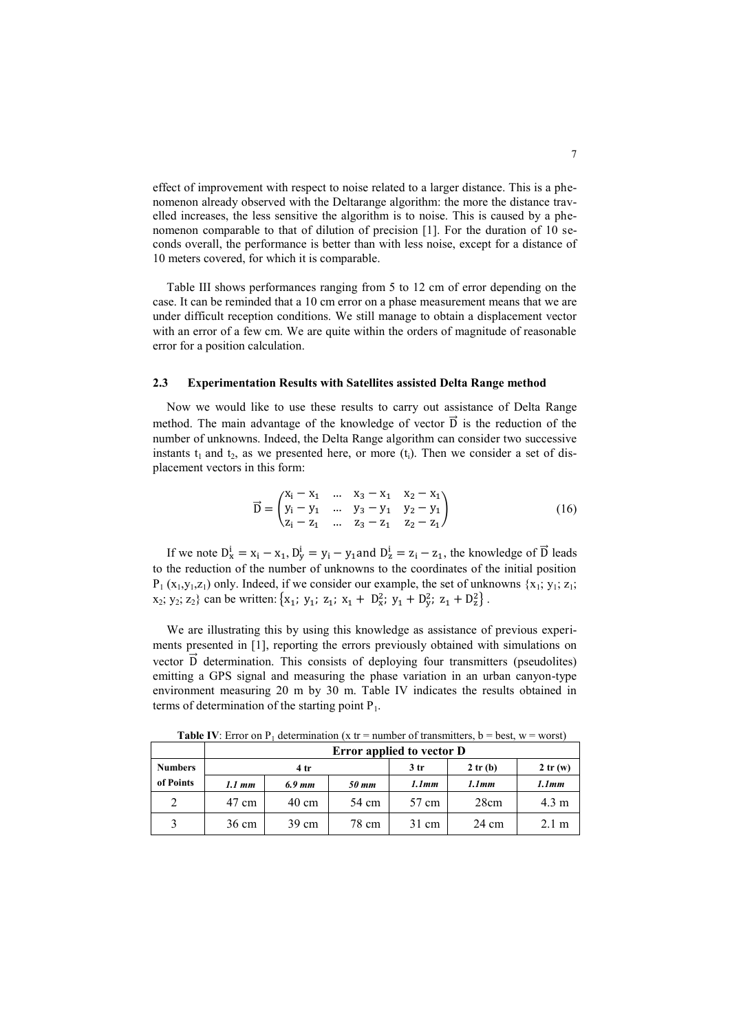effect of improvement with respect to noise related to a larger distance. This is a phenomenon already observed with the Deltarange algorithm: the more the distance travelled increases, the less sensitive the algorithm is to noise. This is caused by a phenomenon comparable to that of dilution of precision [1]. For the duration of 10 seconds overall, the performance is better than with less noise, except for a distance of 10 meters covered, for which it is comparable.

Table III shows performances ranging from 5 to 12 cm of error depending on the case. It can be reminded that a 10 cm error on a phase measurement means that we are under difficult reception conditions. We still manage to obtain a displacement vector with an error of a few cm. We are quite within the orders of magnitude of reasonable error for a position calculation.

### **2.3 Experimentation Results with Satellites assisted Delta Range method**

Now we would like to use these results to carry out assistance of Delta Range method. The main advantage of the knowledge of vector  $\vec{D}$  is the reduction of the number of unknowns. Indeed, the Delta Range algorithm can consider two successive instants  $t_1$  and  $t_2$ , as we presented here, or more  $(t_i)$ . Then we consider a set of displacement vectors in this form:

$$
\vec{D} = \begin{pmatrix} x_1 - x_1 & \dots & x_3 - x_1 & x_2 - x_1 \\ y_1 - y_1 & \dots & y_3 - y_1 & y_2 - y_1 \\ z_1 - z_1 & \dots & z_3 - z_1 & z_2 - z_1 \end{pmatrix}
$$
 (16)

If we note  $D_x^i = x_i - x_1$ ,  $D_y^i = y_i - y_1$  and  $D_z^i = z_i - z_1$ , the knowledge of  $\vec{D}$  leads to the reduction of the number of unknowns to the coordinates of the initial position  $P_1(x_1,y_1,z_1)$  only. Indeed, if we consider our example, the set of unknowns  $\{x_1; y_1; z_1;$  $x_2$ ;  $y_2$ ;  $z_2$ } can be written: { $x_1$ ;  $y_1$ ;  $z_1$ ;  $x_1 + D_x^2$ ;  $y_1 + D_y^2$ ;  $z_1 + D_z^2$ }.

We are illustrating this by using this knowledge as assistance of previous experiments presented in [1], reporting the errors previously obtained with simulations on vector D determination. This consists of deploying four transmitters (pseudolites) emitting a GPS signal and measuring the phase variation in an urban canyon-type environment measuring 20 m by 30 m. Table IV indicates the results obtained in terms of determination of the starting point  $P_1$ .

|                | Error applied to vector D |                 |       |                 |         |                 |
|----------------|---------------------------|-----------------|-------|-----------------|---------|-----------------|
| <b>Numbers</b> |                           | 4 <sup>tr</sup> |       | 3 <sub>tr</sub> | 2 tr(b) | 2tr(w)          |
| of Points      | $1.1 \, mm$               | 6.9 mm          | 50 mm | 1.1mm           | 1.1mm   | 1.1mm           |
| 2              | 47 cm                     | $40 \text{ cm}$ | 54 cm | 57 cm           | 28cm    | $4.3 \text{ m}$ |
| 3              | 36 cm                     | $39 \text{ cm}$ | 78 cm | 31 cm           | 24 cm   | $2.1 \text{ m}$ |

**Table IV**: Error on  $P_1$  determination (x tr = number of transmitters, b = best, w = worst)